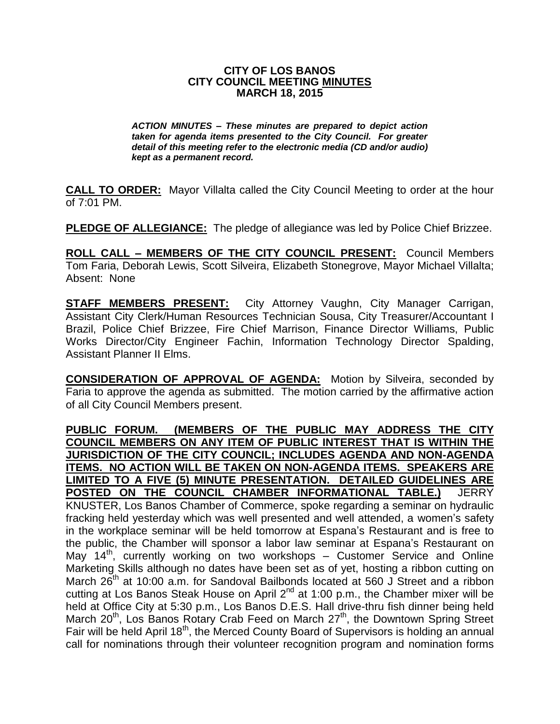## **CITY OF LOS BANOS CITY COUNCIL MEETING MINUTES MARCH 18, 2015**

*ACTION MINUTES – These minutes are prepared to depict action taken for agenda items presented to the City Council. For greater detail of this meeting refer to the electronic media (CD and/or audio) kept as a permanent record.*

**CALL TO ORDER:** Mayor Villalta called the City Council Meeting to order at the hour of 7:01 PM.

**PLEDGE OF ALLEGIANCE:** The pledge of allegiance was led by Police Chief Brizzee.

**ROLL CALL – MEMBERS OF THE CITY COUNCIL PRESENT:** Council Members Tom Faria, Deborah Lewis, Scott Silveira, Elizabeth Stonegrove, Mayor Michael Villalta; Absent: None

**STAFF MEMBERS PRESENT:** City Attorney Vaughn, City Manager Carrigan, Assistant City Clerk/Human Resources Technician Sousa, City Treasurer/Accountant I Brazil, Police Chief Brizzee, Fire Chief Marrison, Finance Director Williams, Public Works Director/City Engineer Fachin, Information Technology Director Spalding, Assistant Planner II Elms.

**CONSIDERATION OF APPROVAL OF AGENDA:** Motion by Silveira, seconded by Faria to approve the agenda as submitted. The motion carried by the affirmative action of all City Council Members present.

**PUBLIC FORUM. (MEMBERS OF THE PUBLIC MAY ADDRESS THE CITY COUNCIL MEMBERS ON ANY ITEM OF PUBLIC INTEREST THAT IS WITHIN THE JURISDICTION OF THE CITY COUNCIL; INCLUDES AGENDA AND NON-AGENDA ITEMS. NO ACTION WILL BE TAKEN ON NON-AGENDA ITEMS. SPEAKERS ARE LIMITED TO A FIVE (5) MINUTE PRESENTATION. DETAILED GUIDELINES ARE POSTED ON THE COUNCIL CHAMBER INFORMATIONAL TABLE.)** JERRY KNUSTER, Los Banos Chamber of Commerce, spoke regarding a seminar on hydraulic fracking held yesterday which was well presented and well attended, a women's safety in the workplace seminar will be held tomorrow at Espana's Restaurant and is free to the public, the Chamber will sponsor a labor law seminar at Espana's Restaurant on May 14<sup>th</sup>, currently working on two workshops – Customer Service and Online Marketing Skills although no dates have been set as of yet, hosting a ribbon cutting on March 26<sup>th</sup> at 10:00 a.m. for Sandoval Bailbonds located at 560 J Street and a ribbon cutting at Los Banos Steak House on April  $2^{nd}$  at 1:00 p.m., the Chamber mixer will be held at Office City at 5:30 p.m., Los Banos D.E.S. Hall drive-thru fish dinner being held March  $20<sup>th</sup>$ , Los Banos Rotary Crab Feed on March  $27<sup>th</sup>$ , the Downtown Spring Street Fair will be held April 18<sup>th</sup>, the Merced County Board of Supervisors is holding an annual call for nominations through their volunteer recognition program and nomination forms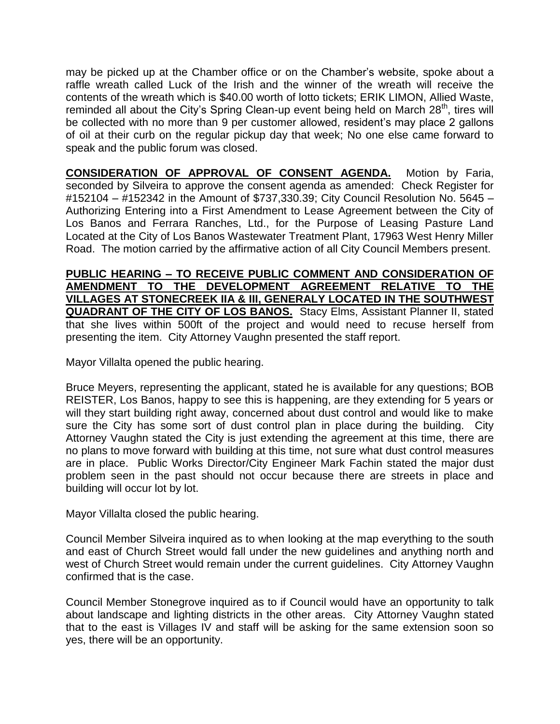may be picked up at the Chamber office or on the Chamber's website, spoke about a raffle wreath called Luck of the Irish and the winner of the wreath will receive the contents of the wreath which is \$40.00 worth of lotto tickets; ERIK LIMON, Allied Waste, reminded all about the City's Spring Clean-up event being held on March 28<sup>th</sup>, tires will be collected with no more than 9 per customer allowed, resident's may place 2 gallons of oil at their curb on the regular pickup day that week; No one else came forward to speak and the public forum was closed.

**CONSIDERATION OF APPROVAL OF CONSENT AGENDA.** Motion by Faria, seconded by Silveira to approve the consent agenda as amended: Check Register for #152104 – #152342 in the Amount of \$737,330.39; City Council Resolution No. 5645 – Authorizing Entering into a First Amendment to Lease Agreement between the City of Los Banos and Ferrara Ranches, Ltd., for the Purpose of Leasing Pasture Land Located at the City of Los Banos Wastewater Treatment Plant, 17963 West Henry Miller Road. The motion carried by the affirmative action of all City Council Members present.

**PUBLIC HEARING – TO RECEIVE PUBLIC COMMENT AND CONSIDERATION OF AMENDMENT TO THE DEVELOPMENT AGREEMENT RELATIVE TO THE VILLAGES AT STONECREEK IIA & III, GENERALY LOCATED IN THE SOUTHWEST QUADRANT OF THE CITY OF LOS BANOS.** Stacy Elms, Assistant Planner II, stated that she lives within 500ft of the project and would need to recuse herself from presenting the item. City Attorney Vaughn presented the staff report.

Mayor Villalta opened the public hearing.

Bruce Meyers, representing the applicant, stated he is available for any questions; BOB REISTER, Los Banos, happy to see this is happening, are they extending for 5 years or will they start building right away, concerned about dust control and would like to make sure the City has some sort of dust control plan in place during the building. City Attorney Vaughn stated the City is just extending the agreement at this time, there are no plans to move forward with building at this time, not sure what dust control measures are in place. Public Works Director/City Engineer Mark Fachin stated the major dust problem seen in the past should not occur because there are streets in place and building will occur lot by lot.

Mayor Villalta closed the public hearing.

Council Member Silveira inquired as to when looking at the map everything to the south and east of Church Street would fall under the new guidelines and anything north and west of Church Street would remain under the current guidelines. City Attorney Vaughn confirmed that is the case.

Council Member Stonegrove inquired as to if Council would have an opportunity to talk about landscape and lighting districts in the other areas. City Attorney Vaughn stated that to the east is Villages IV and staff will be asking for the same extension soon so yes, there will be an opportunity.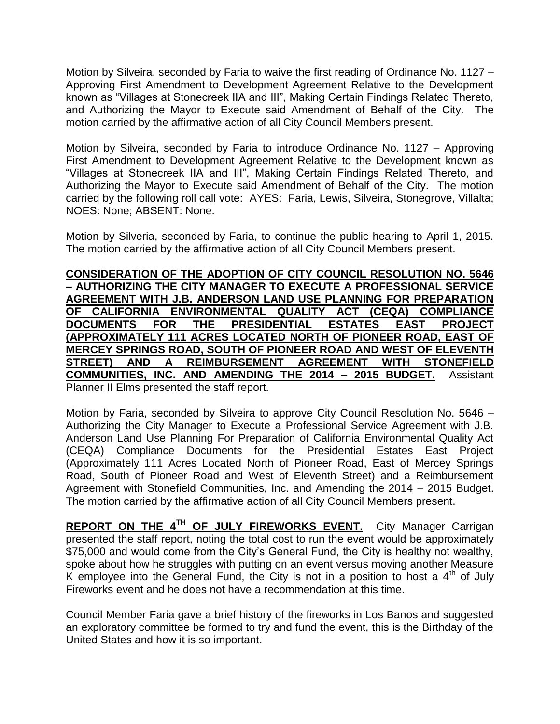Motion by Silveira, seconded by Faria to waive the first reading of Ordinance No. 1127 – Approving First Amendment to Development Agreement Relative to the Development known as "Villages at Stonecreek IIA and III", Making Certain Findings Related Thereto, and Authorizing the Mayor to Execute said Amendment of Behalf of the City. The motion carried by the affirmative action of all City Council Members present.

Motion by Silveira, seconded by Faria to introduce Ordinance No. 1127 – Approving First Amendment to Development Agreement Relative to the Development known as "Villages at Stonecreek IIA and III", Making Certain Findings Related Thereto, and Authorizing the Mayor to Execute said Amendment of Behalf of the City. The motion carried by the following roll call vote: AYES: Faria, Lewis, Silveira, Stonegrove, Villalta; NOES: None; ABSENT: None.

Motion by Silveria, seconded by Faria, to continue the public hearing to April 1, 2015. The motion carried by the affirmative action of all City Council Members present.

**CONSIDERATION OF THE ADOPTION OF CITY COUNCIL RESOLUTION NO. 5646 – AUTHORIZING THE CITY MANAGER TO EXECUTE A PROFESSIONAL SERVICE AGREEMENT WITH J.B. ANDERSON LAND USE PLANNING FOR PREPARATION OF CALIFORNIA ENVIRONMENTAL QUALITY ACT (CEQA) COMPLIANCE DOCUMENTS FOR THE PRESIDENTIAL ESTATES EAST PROJECT (APPROXIMATELY 111 ACRES LOCATED NORTH OF PIONEER ROAD, EAST OF MERCEY SPRINGS ROAD, SOUTH OF PIONEER ROAD AND WEST OF ELEVENTH STREET) AND A REIMBURSEMENT AGREEMENT WITH STONEFIELD COMMUNITIES, INC. AND AMENDING THE 2014 – 2015 BUDGET.** Assistant Planner II Elms presented the staff report.

Motion by Faria, seconded by Silveira to approve City Council Resolution No. 5646 – Authorizing the City Manager to Execute a Professional Service Agreement with J.B. Anderson Land Use Planning For Preparation of California Environmental Quality Act (CEQA) Compliance Documents for the Presidential Estates East Project (Approximately 111 Acres Located North of Pioneer Road, East of Mercey Springs Road, South of Pioneer Road and West of Eleventh Street) and a Reimbursement Agreement with Stonefield Communities, Inc. and Amending the 2014 – 2015 Budget. The motion carried by the affirmative action of all City Council Members present.

**REPORT ON THE 4TH OF JULY FIREWORKS EVENT.** City Manager Carrigan presented the staff report, noting the total cost to run the event would be approximately \$75,000 and would come from the City's General Fund, the City is healthy not wealthy, spoke about how he struggles with putting on an event versus moving another Measure K employee into the General Fund, the City is not in a position to host a  $4<sup>th</sup>$  of July Fireworks event and he does not have a recommendation at this time.

Council Member Faria gave a brief history of the fireworks in Los Banos and suggested an exploratory committee be formed to try and fund the event, this is the Birthday of the United States and how it is so important.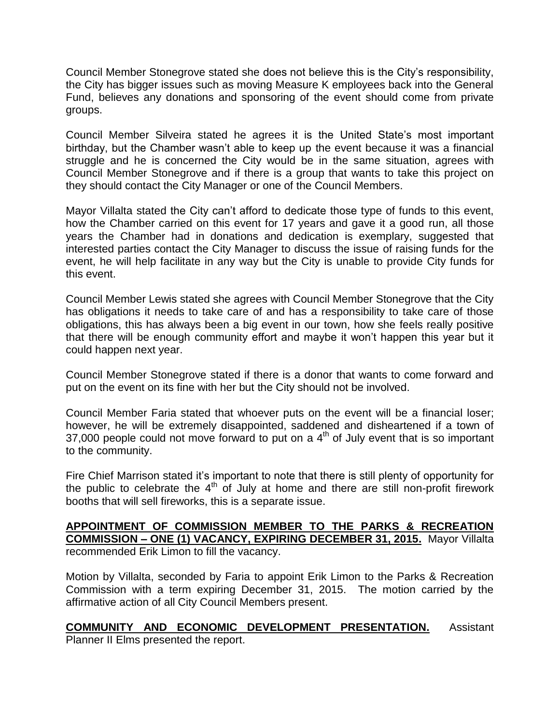Council Member Stonegrove stated she does not believe this is the City's responsibility, the City has bigger issues such as moving Measure K employees back into the General Fund, believes any donations and sponsoring of the event should come from private groups.

Council Member Silveira stated he agrees it is the United State's most important birthday, but the Chamber wasn't able to keep up the event because it was a financial struggle and he is concerned the City would be in the same situation, agrees with Council Member Stonegrove and if there is a group that wants to take this project on they should contact the City Manager or one of the Council Members.

Mayor Villalta stated the City can't afford to dedicate those type of funds to this event, how the Chamber carried on this event for 17 years and gave it a good run, all those years the Chamber had in donations and dedication is exemplary, suggested that interested parties contact the City Manager to discuss the issue of raising funds for the event, he will help facilitate in any way but the City is unable to provide City funds for this event.

Council Member Lewis stated she agrees with Council Member Stonegrove that the City has obligations it needs to take care of and has a responsibility to take care of those obligations, this has always been a big event in our town, how she feels really positive that there will be enough community effort and maybe it won't happen this year but it could happen next year.

Council Member Stonegrove stated if there is a donor that wants to come forward and put on the event on its fine with her but the City should not be involved.

Council Member Faria stated that whoever puts on the event will be a financial loser; however, he will be extremely disappointed, saddened and disheartened if a town of  $37,000$  people could not move forward to put on a  $4<sup>th</sup>$  of July event that is so important to the community.

Fire Chief Marrison stated it's important to note that there is still plenty of opportunity for the public to celebrate the  $4<sup>th</sup>$  of July at home and there are still non-profit firework booths that will sell fireworks, this is a separate issue.

**APPOINTMENT OF COMMISSION MEMBER TO THE PARKS & RECREATION COMMISSION – ONE (1) VACANCY, EXPIRING DECEMBER 31, 2015.** Mayor Villalta recommended Erik Limon to fill the vacancy.

Motion by Villalta, seconded by Faria to appoint Erik Limon to the Parks & Recreation Commission with a term expiring December 31, 2015. The motion carried by the affirmative action of all City Council Members present.

**COMMUNITY AND ECONOMIC DEVELOPMENT PRESENTATION.** Assistant Planner II Elms presented the report.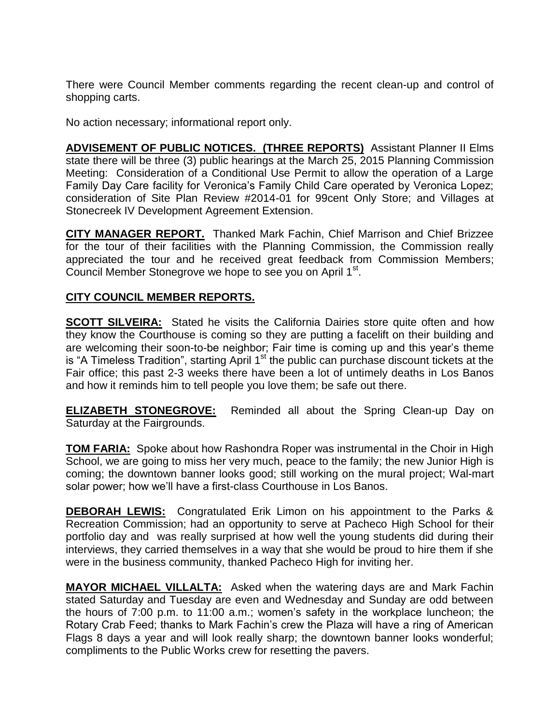There were Council Member comments regarding the recent clean-up and control of shopping carts.

No action necessary; informational report only.

**ADVISEMENT OF PUBLIC NOTICES. (THREE REPORTS)** Assistant Planner II Elms state there will be three (3) public hearings at the March 25, 2015 Planning Commission Meeting: Consideration of a Conditional Use Permit to allow the operation of a Large Family Day Care facility for Veronica's Family Child Care operated by Veronica Lopez; consideration of Site Plan Review #2014-01 for 99cent Only Store; and Villages at Stonecreek IV Development Agreement Extension.

**CITY MANAGER REPORT.** Thanked Mark Fachin, Chief Marrison and Chief Brizzee for the tour of their facilities with the Planning Commission, the Commission really appreciated the tour and he received great feedback from Commission Members; Council Member Stonegrove we hope to see you on April 1st.

## **CITY COUNCIL MEMBER REPORTS.**

**SCOTT SILVEIRA:** Stated he visits the California Dairies store quite often and how they know the Courthouse is coming so they are putting a facelift on their building and are welcoming their soon-to-be neighbor; Fair time is coming up and this year's theme is "A Timeless Tradition", starting April  $1<sup>st</sup>$  the public can purchase discount tickets at the Fair office; this past 2-3 weeks there have been a lot of untimely deaths in Los Banos and how it reminds him to tell people you love them; be safe out there.

**ELIZABETH STONEGROVE:** Reminded all about the Spring Clean-up Day on Saturday at the Fairgrounds.

**TOM FARIA:** Spoke about how Rashondra Roper was instrumental in the Choir in High School, we are going to miss her very much, peace to the family; the new Junior High is coming; the downtown banner looks good; still working on the mural project; Wal-mart solar power; how we'll have a first-class Courthouse in Los Banos.

**DEBORAH LEWIS:** Congratulated Erik Limon on his appointment to the Parks & Recreation Commission; had an opportunity to serve at Pacheco High School for their portfolio day and was really surprised at how well the young students did during their interviews, they carried themselves in a way that she would be proud to hire them if she were in the business community, thanked Pacheco High for inviting her.

**MAYOR MICHAEL VILLALTA:** Asked when the watering days are and Mark Fachin stated Saturday and Tuesday are even and Wednesday and Sunday are odd between the hours of 7:00 p.m. to 11:00 a.m.; women's safety in the workplace luncheon; the Rotary Crab Feed; thanks to Mark Fachin's crew the Plaza will have a ring of American Flags 8 days a year and will look really sharp; the downtown banner looks wonderful; compliments to the Public Works crew for resetting the pavers.